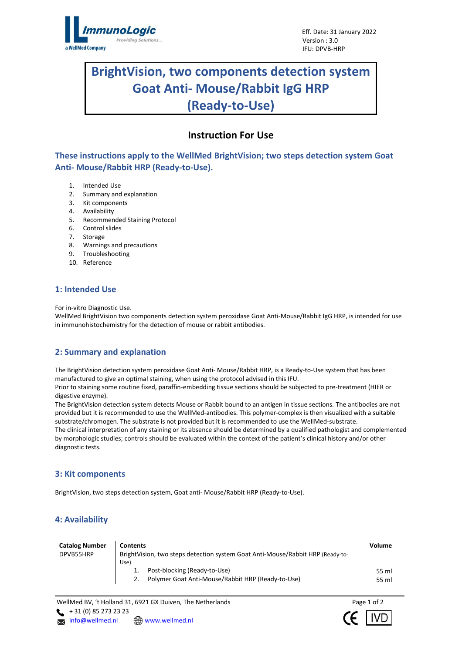

# **BrightVision, two components detection system Goat Anti- Mouse/Rabbit IgG HRP (Ready-to-Use)**

l

## **Instruction For Use**

**These instructions apply to the WellMed BrightVision; two steps detection system Goat Anti- Mouse/Rabbit HRP (Ready-to-Use).**

- 1. Intended Use
- 2. Summary and explanation
- 3. Kit components
- 4. Availability
- 5. Recommended Staining Protocol
- 6. Control slides
- 7. Storage
- 8. Warnings and precautions
- 9. Troubleshooting
- 10. Reference

## **1: Intended Use**

For in-vitro Diagnostic Use.

WellMed BrightVision two components detection system peroxidase Goat Anti-Mouse/Rabbit IgG HRP, is intended for use in immunohistochemistry for the detection of mouse or rabbit antibodies.

## **2: Summary and explanation**

The BrightVision detection system peroxidase Goat Anti- Mouse/Rabbit HRP, is a Ready-to-Use system that has been manufactured to give an optimal staining, when using the protocol advised in this IFU.

Prior to staining some routine fixed, paraffin-embedding tissue sections should be subjected to pre-treatment (HIER or digestive enzyme).

The BrightVision detection system detects Mouse or Rabbit bound to an antigen in tissue sections. The antibodies are not provided but it is recommended to use the WellMed-antibodies. This polymer-complex is then visualized with a suitable substrate/chromogen. The substrate is not provided but it is recommended to use the WellMed-substrate.

The clinical interpretation of any staining or its absence should be determined by a qualified pathologist and complemented by morphologic studies; controls should be evaluated within the context of the patient's clinical history and/or other diagnostic tests.

## **3: Kit components**

BrightVision, two steps detection system, Goat anti- Mouse/Rabbit HRP (Ready-to-Use).

## **4: Availability**

| <b>Catalog Number</b> | <b>Contents</b>                                                                | Volume |  |
|-----------------------|--------------------------------------------------------------------------------|--------|--|
| DPVB55HRP             | BrightVision, two steps detection system Goat Anti-Mouse/Rabbit HRP (Ready-to- |        |  |
|                       | Use)                                                                           |        |  |
|                       | Post-blocking (Ready-to-Use)                                                   | 55 ml  |  |
|                       | Polymer Goat Anti-Mouse/Rabbit HRP (Ready-to-Use)                              | 55 ml  |  |

WellMed BV, 't Holland 31, 6921 GX Duiven, The Netherlands Page 1 of 2  $+ 31 (0) 85 273 23 23$